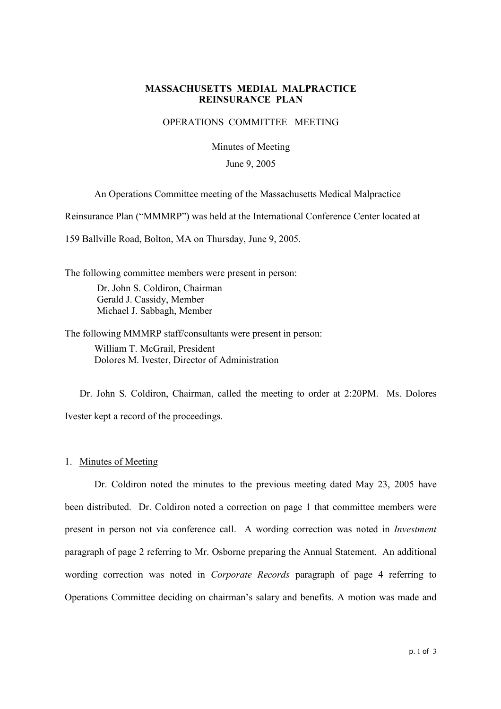## **MASSACHUSETTS MEDIAL MALPRACTICE REINSURANCE PLAN**

## OPERATIONS COMMITTEE MEETING

Minutes of Meeting

#### June 9, 2005

An Operations Committee meeting of the Massachusetts Medical Malpractice

Reinsurance Plan ("MMMRP") was held at the International Conference Center located at

159 Ballville Road, Bolton, MA on Thursday, June 9, 2005.

The following committee members were present in person: Dr. John S. Coldiron, Chairman Gerald J. Cassidy, Member Michael J. Sabbagh, Member

The following MMMRP staff/consultants were present in person: William T. McGrail, President Dolores M. Ivester, Director of Administration

Dr. John S. Coldiron, Chairman, called the meeting to order at 2:20PM. Ms. Dolores Ivester kept a record of the proceedings.

#### 1. Minutes of Meeting

Dr. Coldiron noted the minutes to the previous meeting dated May 23, 2005 have been distributed. Dr. Coldiron noted a correction on page 1 that committee members were present in person not via conference call. A wording correction was noted in Investment paragraph of page 2 referring to Mr. Osborne preparing the Annual Statement. An additional wording correction was noted in Corporate Records paragraph of page 4 referring to Operations Committee deciding on chairman's salary and benefits. A motion was made and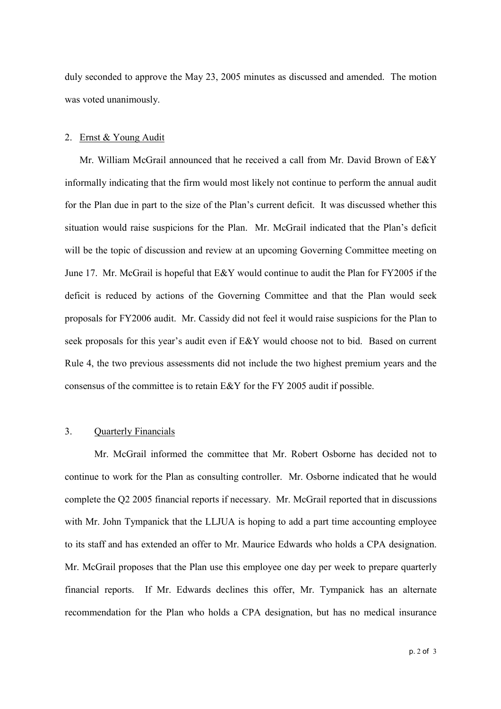duly seconded to approve the May 23, 2005 minutes as discussed and amended. The motion was voted unanimously.

### 2. Ernst & Young Audit

Mr. William McGrail announced that he received a call from Mr. David Brown of E&Y informally indicating that the firm would most likely not continue to perform the annual audit for the Plan due in part to the size of the Plan's current deficit. It was discussed whether this situation would raise suspicions for the Plan. Mr. McGrail indicated that the Plan's deficit will be the topic of discussion and review at an upcoming Governing Committee meeting on June 17. Mr. McGrail is hopeful that E&Y would continue to audit the Plan for FY2005 if the deficit is reduced by actions of the Governing Committee and that the Plan would seek proposals for FY2006 audit. Mr. Cassidy did not feel it would raise suspicions for the Plan to seek proposals for this year's audit even if E&Y would choose not to bid. Based on current Rule 4, the two previous assessments did not include the two highest premium years and the consensus of the committee is to retain E&Y for the FY 2005 audit if possible.

## 3. Quarterly Financials

Mr. McGrail informed the committee that Mr. Robert Osborne has decided not to continue to work for the Plan as consulting controller. Mr. Osborne indicated that he would complete the Q2 2005 financial reports if necessary. Mr. McGrail reported that in discussions with Mr. John Tympanick that the LLJUA is hoping to add a part time accounting employee to its staff and has extended an offer to Mr. Maurice Edwards who holds a CPA designation. Mr. McGrail proposes that the Plan use this employee one day per week to prepare quarterly financial reports. If Mr. Edwards declines this offer, Mr. Tympanick has an alternate recommendation for the Plan who holds a CPA designation, but has no medical insurance